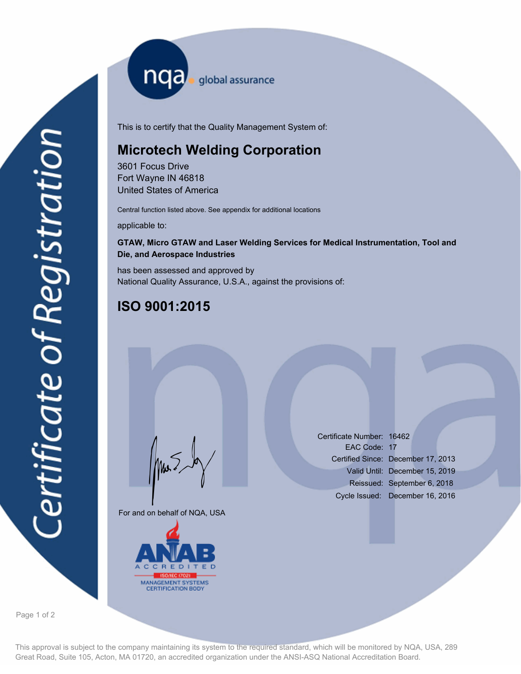nqa <sub>global assurance</sub>

This is to certify that the Quality Management System of:

## **Microtech Welding Corporation**

3601 Focus Drive Fort Wayne IN 46818 United States of America

Central function listed above. See appendix for additional locations

applicable to:

## **GTAW, Micro GTAW and Laser Welding Services for Medical Instrumentation, Tool and Die, and Aerospace Industries**

has been assessed and approved by National Quality Assurance, U.S.A., against the provisions of:

## **ISO 9001:2015**

For and on behalf of NQA, USA

Mus



Certificate Number: 16462 EAC Code: 17 Certified Since: December 17, 2013 Valid Until: December 15, 2019 Reissued: September 6, 2018 Cycle Issued: December 16, 2016

Page 1 of 2

This approval is subject to the company maintaining its system to the required standard, which will be monitored by NQA, USA, 289 Great Road, Suite 105, Acton, MA 01720, an accredited organization under the ANSI-ASQ National Accreditation Board.